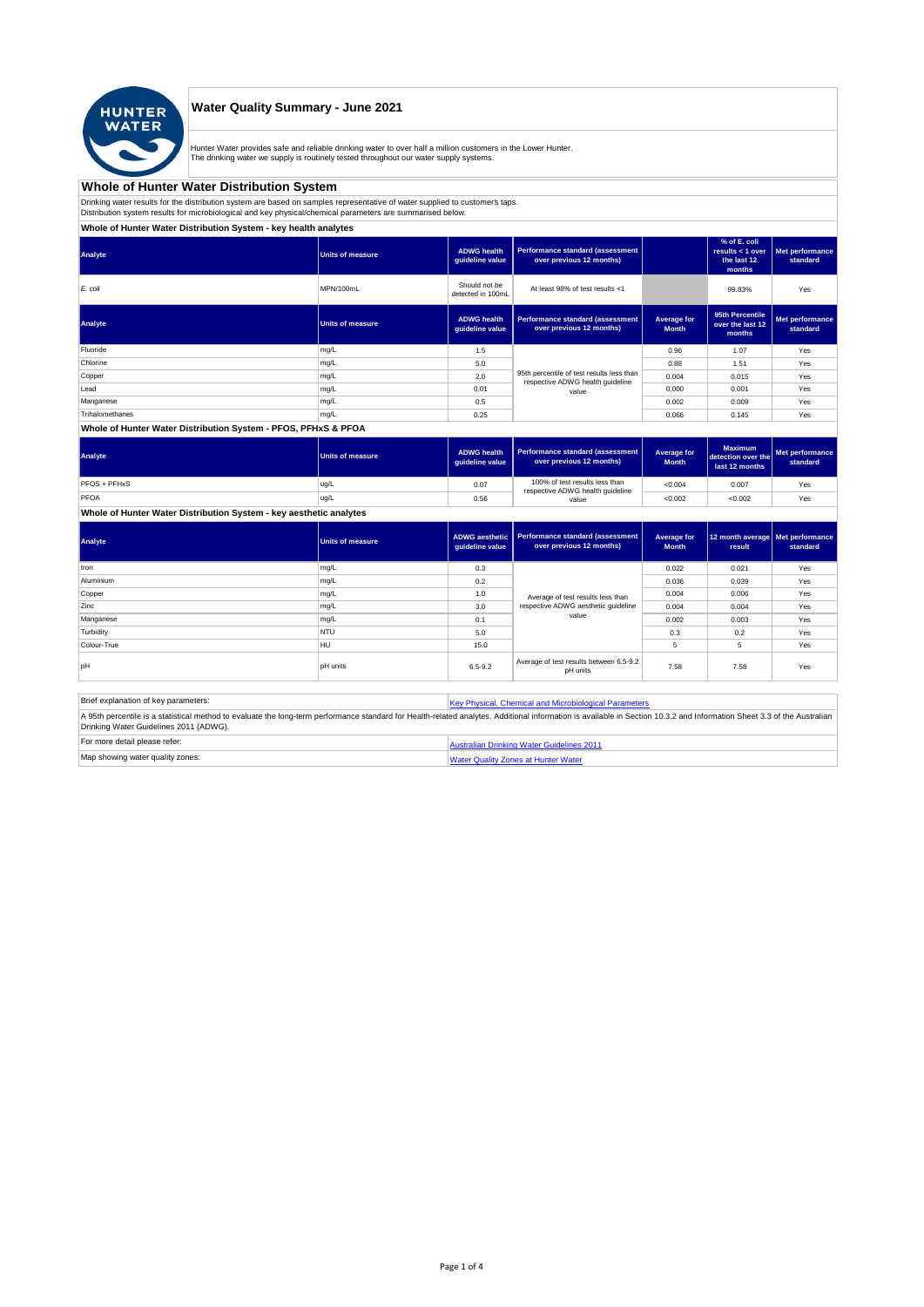

## **Water Quality Summary - June 2021**

Hunter Water provides safe and reliable drinking water to over half a million customers in the Lower Hunter.<br>The drinking water we supply is routinely tested throughout our water supply systems.

### **Whole of Hunter Water Distribution System**

Drinking water results for the distribution system are based on samples representative of water supplied to customer' taps.<br>Distribution system results for microbiological and key physical/chemical parameters are summarise

### **Whole of Hunter Water Distribution System - key health analytes**

| Analyte         | <b>Units of measure</b> | <b>ADWG</b> health<br>quideline value | Performance standard (assessment<br>over previous 12 months)                  |                             | % of E. coli<br>results $<$ 1 over<br>the last 12<br>months | Met performance<br>standard |
|-----------------|-------------------------|---------------------------------------|-------------------------------------------------------------------------------|-----------------------------|-------------------------------------------------------------|-----------------------------|
| E. coli         | MPN/100mL               | Should not be<br>detected in 100mL    | At least 98% of test results <1                                               |                             | 99.83%                                                      | Yes                         |
| Analyte         | <b>Units of measure</b> | <b>ADWG</b> health<br>guideline value | Performance standard (assessment<br>over previous 12 months)                  | Average for<br><b>Month</b> | 95th Percentile<br>over the last 12<br>months               | Met performance<br>standard |
| Fluoride        | mg/L                    | 1.5                                   |                                                                               | 0.96                        | 1.07                                                        | Yes                         |
| Chlorine        | mg/L                    | 5.0                                   |                                                                               | 0.88                        | 1.51                                                        | Yes                         |
| Copper          | mg/L                    | 2.0                                   | 95th percentile of test results less than<br>respective ADWG health guideline | 0.004                       | 0.015                                                       | Yes                         |
| Lead            | mg/L                    | 0.01                                  | value                                                                         | 0.000                       | 0.001                                                       | Yes                         |
| Manganese       | mg/L                    | 0.5                                   |                                                                               | 0.002                       | 0.009                                                       | Yes                         |
| Trihalomethanes | mg/L                    | 0.25                                  |                                                                               | 0.066                       | 0.145                                                       | Yes                         |

#### **Whole of Hunter Water Distribution System - PFOS, PFHxS & PFOA**

| Analyte      | <b>Units of measure</b> | <b>ADWG health</b><br>quideline value | Performance standard (assessment<br>over previous 12 months)       | Average for<br><b>Month</b> | <b>Maximum</b><br>detection over the<br>last 12 months | Met performance<br>standard |
|--------------|-------------------------|---------------------------------------|--------------------------------------------------------------------|-----------------------------|--------------------------------------------------------|-----------------------------|
| PFOS + PFHxS | ug/L                    | 0.07                                  | 100% of test results less than<br>respective ADWG health guideline | < 0.004                     | 0.007                                                  | Yes                         |
| PFOA         | ug/L                    | 0.56                                  | value                                                              | < 0.002                     | < 0.002                                                | Yes                         |

**Whole of Hunter Water Distribution System - key aesthetic analytes**

| Analyte     | Units of measure | ADWG aesthetic<br>guideline value | Performance standard (assessment<br>over previous 12 months) | Average for<br><b>Month</b> | 12 month average   Met performance<br>result | standard |
|-------------|------------------|-----------------------------------|--------------------------------------------------------------|-----------------------------|----------------------------------------------|----------|
| Iron        | mg/L             | 0.3                               |                                                              | 0.022                       | 0.021                                        | Yes      |
| Aluminium   | mg/L             | 0.2                               |                                                              | 0.036                       | 0.039                                        | Yes      |
| Copper      | mg/L             | 1.0                               | Average of test results less than                            | 0.004                       | 0.006                                        | Yes      |
| Zinc        | mg/L             | 3.0                               | respective ADWG aesthetic quideline                          | 0.004                       | 0.004                                        | Yes      |
| Manganese   | mg/L             | 0.1                               | value                                                        | 0.002                       | 0.003                                        | Yes      |
| Turbidity   | <b>NTU</b>       | 5.0                               |                                                              | 0.3                         | 0.2                                          | Yes      |
| Colour-True | <b>HU</b>        | 15.0                              |                                                              |                             | 5                                            | Yes      |
| pH          | <b>DH</b> units  | $6.5 - 9.2$                       | Average of test results between 6.5-9.2<br>pH units          | 7.58                        | 7.58                                         | Yes      |

Brief explanation of key parameters: [Key Physical, Che](http://www.hunterwater.com.au/Resources/Documents/Fact-Sheets/Water-Quality/Key-WQ-Parameters.pdf)mical and Microbiological Parameters A 95th percentile is a statistical method to evaluate the long-term performance standard for Health-related analytes. Additional information is available in Section 10.3.2 and Information Sheet 3.3 of the Australian<br>Drinki For more detail please refer: <br>[Australian Drinkin](http://www.nhmrc.gov.au/guidelines/publications/eh52)g Water Guidelines 2011

| Map showing water quality zones: | Water Quality Zones at Hunter Water |
|----------------------------------|-------------------------------------|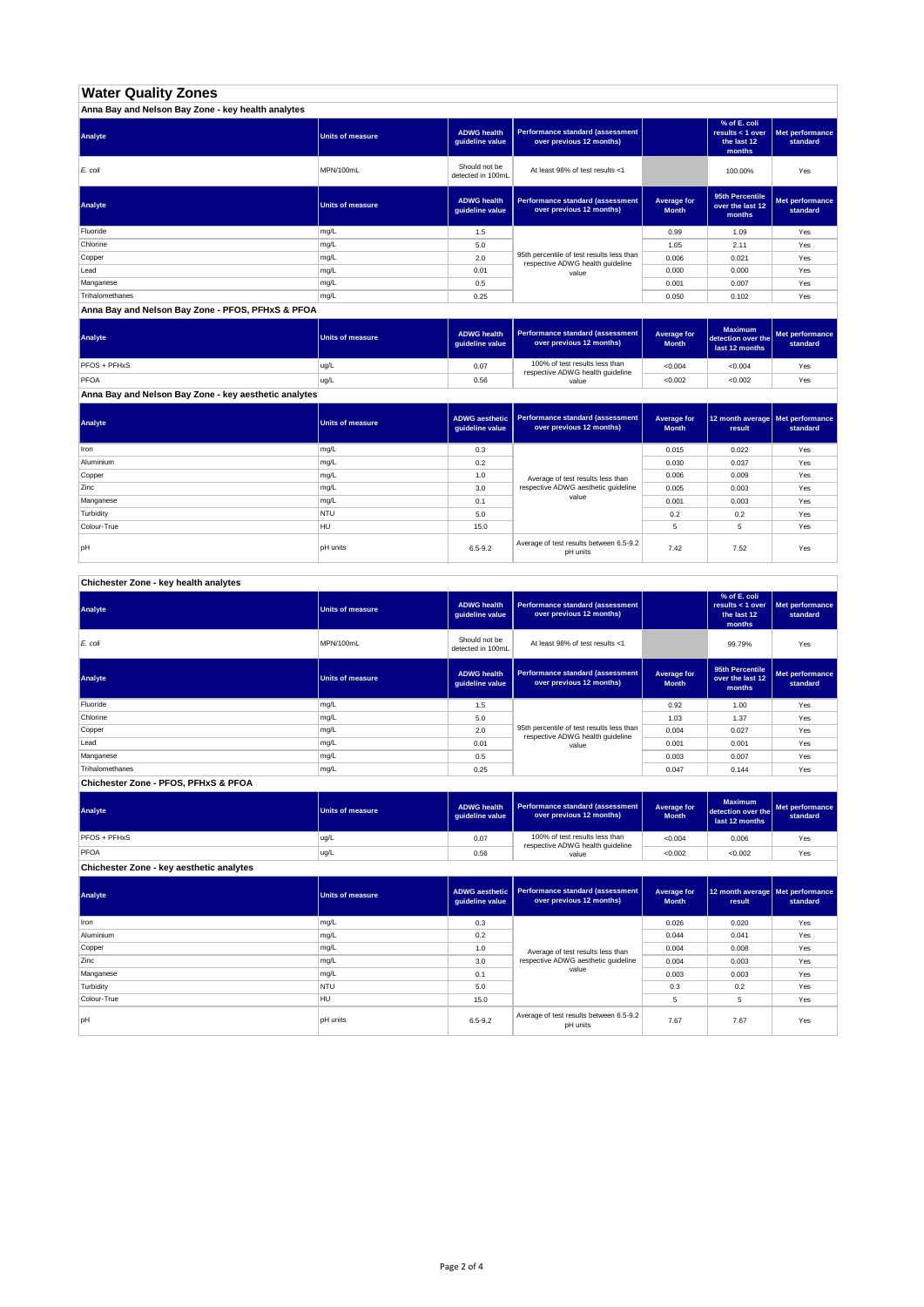# **Water Quality Zones**

| Anna Bay and Nelson Bay Zone - key health analytes |                  |                                       |                                                                               |                             |                                                           |                             |  |  |
|----------------------------------------------------|------------------|---------------------------------------|-------------------------------------------------------------------------------|-----------------------------|-----------------------------------------------------------|-----------------------------|--|--|
| Analyte                                            | Units of measure | <b>ADWG health</b><br>quideline value | Performance standard (assessment<br>over previous 12 months)                  |                             | % of E. coli<br>results < 1 over<br>the last 12<br>months | Met performance<br>standard |  |  |
| E. coli                                            | MPN/100mL        | Should not be<br>detected in 100mL    | At least 98% of test results <1                                               |                             | 100.00%                                                   | Yes                         |  |  |
| Analyte                                            | Units of measure | <b>ADWG health</b><br>quideline value | Performance standard (assessment<br>over previous 12 months)                  | Average for<br><b>Month</b> | 95th Percentile<br>over the last 12<br>months             | Met performance<br>standard |  |  |
| Fluoride                                           | mg/L             | 1.5                                   |                                                                               | 0.99                        | 1.09                                                      | Yes                         |  |  |
| Chlorine                                           | mg/L             | 5.0                                   |                                                                               | 1.05                        | 2.11                                                      | Yes                         |  |  |
| Copper                                             | mg/L             | 2.0                                   | 95th percentile of test results less than<br>respective ADWG health guideline | 0.006                       | 0.021                                                     | Yes                         |  |  |
| Lead                                               | mg/L             | 0.01                                  | value                                                                         | 0.000                       | 0.000                                                     | Yes                         |  |  |
| Manganese                                          | mg/L             | 0.5                                   |                                                                               | 0.001                       | 0.007                                                     | Yes                         |  |  |
| Trihalomethanes                                    | mg/L             | 0.25                                  |                                                                               | 0.050                       | 0.102                                                     | Yes                         |  |  |

### **Anna Bay and Nelson Bay Zone - PFOS, PFHxS & PFOA**

| Analyte      | Units of measure | <b>ADWG health</b><br>quideline value | Performance standard (assessment<br>over previous 12 months)       | Average for<br><b>Month</b> | <b>Maximum</b><br>detection over the<br>last 12 months | Met performance<br>standard |
|--------------|------------------|---------------------------------------|--------------------------------------------------------------------|-----------------------------|--------------------------------------------------------|-----------------------------|
| PFOS + PFHxS | ug/L             | 0.07                                  | 100% of test results less than<br>respective ADWG health guideline | < 0.004                     | < 0.004                                                | Yes                         |
| PFOA         | ug/L             | 0.56                                  | value                                                              | < 0.002                     | < 0.002                                                | Yes                         |

**Anna Bay and Nelson Bay Zone - key aesthetic analytes**

| Analyte     | <b>Units of measure</b> | <b>ADWG aesthetic</b><br>guideline value | Performance standard (assessment<br>over previous 12 months) | Average for<br><b>Month</b> | 12 month average   Met performance<br>result | standard |
|-------------|-------------------------|------------------------------------------|--------------------------------------------------------------|-----------------------------|----------------------------------------------|----------|
| Iron        | mg/L                    | 0.3                                      |                                                              | 0.015                       | 0.022                                        | Yes      |
| Aluminium   | mg/L                    | 0.2                                      |                                                              | 0.030                       | 0.037                                        | Yes      |
| Copper      | mg/L                    | 1.0                                      | Average of test results less than                            | 0.006                       | 0.009                                        | Yes      |
| Zinc        | mg/L                    | 3.0                                      | respective ADWG aesthetic quideline                          | 0.005                       | 0.003                                        | Yes      |
| Manganese   | mg/L                    | 0.1                                      | value                                                        | 0.001                       | 0.003                                        | Yes      |
| Turbidity   | <b>NTU</b>              | 5.0                                      |                                                              | 0.2                         | 0.2                                          | Yes      |
| Colour-True | <b>HU</b>               | 15.0                                     |                                                              | 5                           | 5                                            | Yes      |
| pH          | pH units                | $6.5 - 9.2$                              | Average of test results between 6.5-9.2<br>pH units          | 7.42                        | 7.52                                         | Yes      |

# **Chichester Zone - key health analytes**

| Analyte         | Units of measure        | <b>ADWG health</b><br>guideline value | Performance standard (assessment<br>over previous 12 months)                  |                             | % of E. coli<br>results < 1 over<br>the last 12<br>months | Met performance<br>standard |
|-----------------|-------------------------|---------------------------------------|-------------------------------------------------------------------------------|-----------------------------|-----------------------------------------------------------|-----------------------------|
| E. coli         | MPN/100mL               | Should not be<br>detected in 100mL    | At least 98% of test results <1                                               |                             | 99.79%                                                    | Yes                         |
| Analyte         | <b>Units of measure</b> | <b>ADWG health</b><br>guideline value | Performance standard (assessment<br>over previous 12 months)                  | Average for<br><b>Month</b> | 95th Percentile<br>over the last 12<br>months             | Met performance<br>standard |
| Fluoride        | mg/L                    | 1.5                                   |                                                                               | 0.92                        | 1.00                                                      | Yes                         |
| Chlorine        | mg/L                    | 5.0                                   |                                                                               | 1.03                        | 1.37                                                      | Yes                         |
| Copper          | mg/L                    | 2.0                                   | 95th percentile of test results less than<br>respective ADWG health guideline | 0.004                       | 0.027                                                     | Yes                         |
| Lead            | mg/L                    | 0.01                                  | value                                                                         | 0.001                       | 0.001                                                     | Yes                         |
| Manganese       | mg/L                    | 0.5                                   |                                                                               | 0.003                       | 0.007                                                     | Yes                         |
| Trihalomethanes | mg/L                    | 0.25                                  |                                                                               | 0.047                       | 0.144                                                     | Yes                         |

**Chichester Zone - PFOS, PFHxS & PFOA**

| Analyte      | Units of measure | <b>ADWG health</b><br>auideline value | Performance standard (assessment<br>over previous 12 months)       | Average for<br><b>Month</b> | <b>Maximum</b><br>detection over the<br>last 12 months | Met performance<br>standard |
|--------------|------------------|---------------------------------------|--------------------------------------------------------------------|-----------------------------|--------------------------------------------------------|-----------------------------|
| PFOS + PFHxS | ug/L             | 0.07                                  | 100% of test results less than<br>respective ADWG health quideline | < 0.004                     | 0.006                                                  | Yes                         |
| PFOA         | lug/L            | 0.56                                  | value                                                              | < 0.002                     | < 0.002                                                | Yes                         |

**Chichester Zone - key aesthetic analytes**

| Analyte     | <b>Units of measure</b> | quideline value | ADWG aesthetic   Performance standard (assessment<br>over previous 12 months) | Average for<br><b>Month</b> | 12 month average Met performance<br>result | standard |
|-------------|-------------------------|-----------------|-------------------------------------------------------------------------------|-----------------------------|--------------------------------------------|----------|
| Iron        | mg/L                    | 0.3             |                                                                               | 0.026                       | 0.020                                      | Yes      |
| Aluminium   | mg/L                    | 0.2             |                                                                               | 0.044                       | 0.041                                      | Yes      |
| Copper      | mg/L                    | 1.0             | Average of test results less than                                             | 0.004                       | 0.008                                      | Yes      |
| Zinc        | mg/L                    | 3.0             | respective ADWG aesthetic quideline                                           | 0.004                       | 0.003                                      | Yes      |
| Manganese   | mg/L                    | 0.1             | value                                                                         | 0.003                       | 0.003                                      | Yes      |
| Turbidity   | <b>NTU</b>              | 5.0             |                                                                               | 0.3                         | 0.2                                        | Yes      |
| Colour-True | HU                      | 15.0            |                                                                               | 5                           | 5                                          | Yes      |
| loH         | <b>pH</b> units         | $6.5 - 9.2$     | Average of test results between 6.5-9.2<br>pH units                           | 7.67                        | 7.67                                       | Yes      |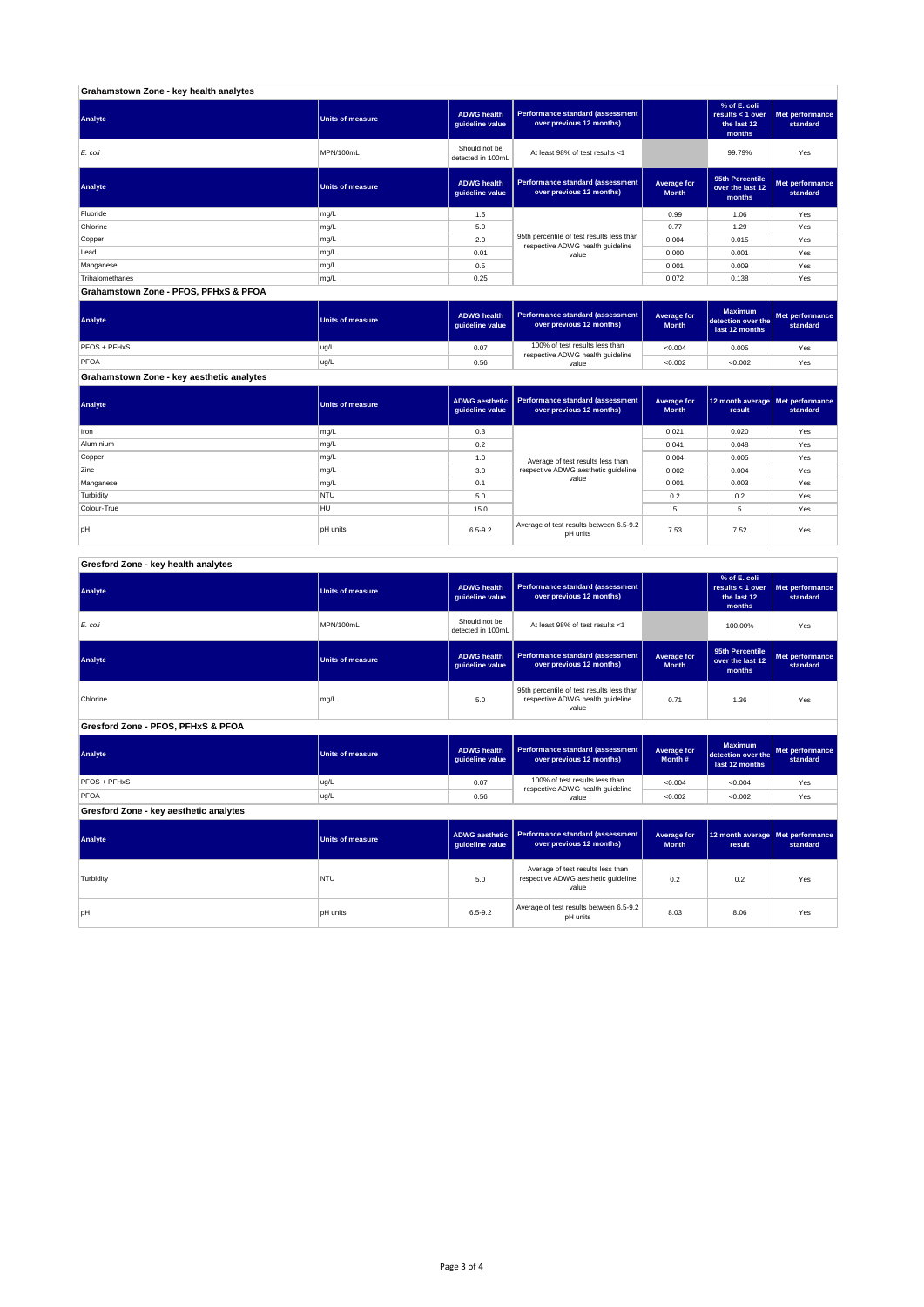## **Grahamstown Zone - key health analytes**

| Analyte                               | Units of measure | <b>ADWG health</b><br>guideline value | Performance standard (assessment<br>over previous 12 months)                  |                             | % of E. coli<br>results < 1 over<br>the last 12<br>months | Met performance<br>standard |  |
|---------------------------------------|------------------|---------------------------------------|-------------------------------------------------------------------------------|-----------------------------|-----------------------------------------------------------|-----------------------------|--|
| E. coli                               | MPN/100mL        | Should not be<br>detected in 100mL    | At least 98% of test results <1                                               |                             | 99.79%                                                    | Yes                         |  |
| Analyte                               | Units of measure | <b>ADWG health</b><br>guideline value | <b>Performance standard (assessment</b><br>over previous 12 months)           | Average for<br><b>Month</b> | 95th Percentile<br>over the last 12<br>months             | Met performance<br>standard |  |
| Fluoride                              | mg/L             | 1.5                                   |                                                                               | 0.99                        | 1.06                                                      | Yes                         |  |
| Chlorine                              | mg/L             | 5.0                                   |                                                                               | 0.77                        | 1.29                                                      | Yes                         |  |
| Copper                                | mg/L             | 2.0                                   | 95th percentile of test results less than<br>respective ADWG health guideline | 0.004                       | 0.015                                                     | Yes                         |  |
| Lead                                  | mg/L             | 0.01                                  | value                                                                         | 0.000                       | 0.001                                                     | Yes                         |  |
| Manganese                             | mg/L             | 0.5                                   |                                                                               | 0.001                       | 0.009                                                     | Yes                         |  |
| Trihalomethanes                       | mg/L             | 0.25                                  |                                                                               | 0.072                       | 0.138                                                     | Yes                         |  |
| Grahamstown Zone - PFOS, PFHxS & PFOA |                  |                                       |                                                                               |                             |                                                           |                             |  |

| Analyte                                   | <b>Units of measure</b> | <b>ADWG health</b><br>guideline value | Performance standard (assessment<br>over previous 12 months)                | Average for<br><b>Month</b> | <b>Maximum</b><br>detection over the<br>last 12 months | Met performance<br>standard |
|-------------------------------------------|-------------------------|---------------------------------------|-----------------------------------------------------------------------------|-----------------------------|--------------------------------------------------------|-----------------------------|
| PFOS + PFHxS                              | ug/L                    | 0.07                                  | 100% of test results less than<br>respective ADWG health guideline<br>value | < 0.004                     | 0.005                                                  | Yes                         |
| PFOA                                      | ug/L                    | 0.56                                  |                                                                             | < 0.002                     | < 0.002                                                | Yes                         |
| Grahamstown Zone - key aesthetic analytes |                         |                                       |                                                                             |                             |                                                        |                             |

| Analyte     | Units of measure | <b>ADWG</b> aesthetic<br>guideline value | Performance standard (assessment<br>over previous 12 months) | Average for<br><b>Month</b> | 12 month average   Met performance<br>result | standard |
|-------------|------------------|------------------------------------------|--------------------------------------------------------------|-----------------------------|----------------------------------------------|----------|
| Iron        | mg/L             | 0.3                                      |                                                              | 0.021                       | 0.020                                        | Yes      |
| Aluminium   | mg/L             | 0.2                                      |                                                              | 0.041                       | 0.048                                        | Yes      |
| Copper      | mg/L             | 1.0                                      | Average of test results less than                            | 0.004                       | 0.005                                        | Yes      |
| Zinc        | mg/L             | 3.0                                      | respective ADWG aesthetic quideline                          | 0.002                       | 0.004                                        | Yes      |
| Manganese   | mg/L             | 0.1                                      | value                                                        | 0.001                       | 0.003                                        | Yes      |
| Turbidity   | <b>NTU</b>       | 5.0                                      |                                                              | 0.2                         | 0.2                                          | Yes      |
| Colour-True | HU               | 15.0                                     |                                                              |                             | 5                                            | Yes      |
| pH          | <b>pH</b> units  | $6.5 - 9.2$                              | Average of test results between 6.5-9.2<br>pH units          | 7.53                        | 7.52                                         | Yes      |

## **Gresford Zone - key health analytes**

| Analyte                                | <b>Units of measure</b> | <b>ADWG health</b><br>guideline value    | <b>Performance standard (assessment</b><br>over previous 12 months)                    |                             | % of E. coli<br>results < 1 over<br>the last 12<br>months | Met performance<br>standard        |
|----------------------------------------|-------------------------|------------------------------------------|----------------------------------------------------------------------------------------|-----------------------------|-----------------------------------------------------------|------------------------------------|
| E. coli                                | MPN/100mL               | Should not be<br>detected in 100mL       | At least 98% of test results <1                                                        |                             | 100.00%                                                   | Yes                                |
| Analyte                                | <b>Units of measure</b> | <b>ADWG health</b><br>guideline value    | <b>Performance standard (assessment</b><br>over previous 12 months)                    | Average for<br><b>Month</b> | 95th Percentile<br>over the last 12<br>months             | <b>Met performance</b><br>standard |
| Chlorine                               | mg/L                    | 5.0                                      | 95th percentile of test results less than<br>respective ADWG health guideline<br>value | 0.71                        | 1.36                                                      | Yes                                |
| Gresford Zone - PFOS, PFHxS & PFOA     |                         |                                          |                                                                                        |                             |                                                           |                                    |
| <b>Analyte</b>                         | <b>Units of measure</b> | <b>ADWG health</b><br>guideline value    | <b>Performance standard (assessment</b><br>over previous 12 months)                    | Average for<br>Month#       | <b>Maximum</b><br>detection over the<br>last 12 months    | Met performance<br>standard        |
| PFOS + PFHxS                           | ug/L                    | 0.07                                     | 100% of test results less than<br>respective ADWG health guideline                     | < 0.004                     | < 0.004                                                   | Yes                                |
| PFOA                                   | ug/L                    | 0.56                                     | value                                                                                  | < 0.002                     | < 0.002                                                   | Yes                                |
| Gresford Zone - key aesthetic analytes |                         |                                          |                                                                                        |                             |                                                           |                                    |
| Analyte                                | <b>Units of measure</b> | <b>ADWG aesthetic</b><br>guideline value | <b>Performance standard (assessment</b><br>over previous 12 months)                    | Average for<br><b>Month</b> | 12 month average<br>result                                | Met performance<br>standard        |
| Turbidity                              | NTU                     | 5.0                                      | Average of test results less than<br>respective ADWG aesthetic guideline<br>value      | 0.2                         | 0.2                                                       | Yes                                |
| pН                                     | <b>pH</b> units         | $6.5 - 9.2$                              | Average of test results between 6.5-9.2<br>pH units                                    | 8.03                        | 8.06                                                      | Yes                                |